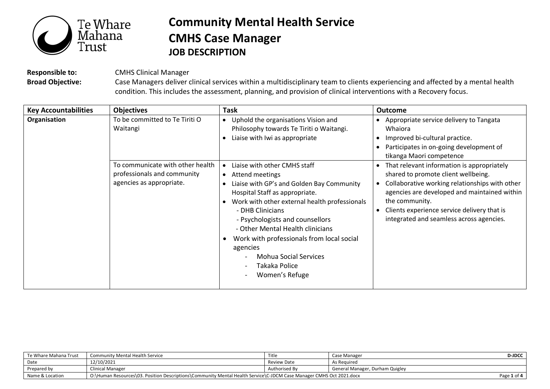

## **Community Mental Health Service CMHS Case Manager JOB DESCRIPTION**

**Responsible to:** CMHS Clinical Manager

**Broad Objective:** Case Managers deliver clinical services within a multidisciplinary team to clients experiencing and affected by a mental health condition. This includes the assessment, planning, and provision of clinical interventions with a Recovery focus.

| <b>Key Accountabilities</b> | <b>Objectives</b>                                                                           | <b>Task</b>                                                                                                                                                                                                                                                                                                                                                                                            | Outcome                                                                                                                                                                                                                                                                                                       |
|-----------------------------|---------------------------------------------------------------------------------------------|--------------------------------------------------------------------------------------------------------------------------------------------------------------------------------------------------------------------------------------------------------------------------------------------------------------------------------------------------------------------------------------------------------|---------------------------------------------------------------------------------------------------------------------------------------------------------------------------------------------------------------------------------------------------------------------------------------------------------------|
| Organisation                | To be committed to Te Tiriti O<br>Waitangi                                                  | Uphold the organisations Vision and<br>Philosophy towards Te Tiriti o Waitangi.<br>Liaise with Iwi as appropriate                                                                                                                                                                                                                                                                                      | Appropriate service delivery to Tangata<br>Whaiora<br>Improved bi-cultural practice.<br>Participates in on-going development of<br>tikanga Maori competence                                                                                                                                                   |
|                             | To communicate with other health<br>professionals and community<br>agencies as appropriate. | Liaise with other CMHS staff<br>Attend meetings<br>Liaise with GP's and Golden Bay Community<br>Hospital Staff as appropriate.<br>Work with other external health professionals<br>- DHB Clinicians<br>- Psychologists and counsellors<br>- Other Mental Health clinicians<br>Work with professionals from local social<br>agencies<br><b>Mohua Social Services</b><br>Takaka Police<br>Women's Refuge | That relevant information is appropriately<br>$\bullet$<br>shared to promote client wellbeing.<br>Collaborative working relationships with other<br>agencies are developed and maintained within<br>the community.<br>Clients experience service delivery that is<br>integrated and seamless across agencies. |

| Te Whare Mahana Trust | <b>Community Mental Health Service</b>                                                                              | Title         | Case Manager                    | <b>D-JDCC</b> |
|-----------------------|---------------------------------------------------------------------------------------------------------------------|---------------|---------------------------------|---------------|
| Date                  | 12/10/2021                                                                                                          | Review Date   | As Reguired                     |               |
| Prepared by           | Clinical Manager                                                                                                    | Authorised By | General Manager, Durham Quigley |               |
| Name & Location       | O:\Human Resources\03. Position Descriptions\Community Mental Health Service\C-JDCM Case Manager CMHS Oct 2021.docx |               |                                 | Page 1 of 4   |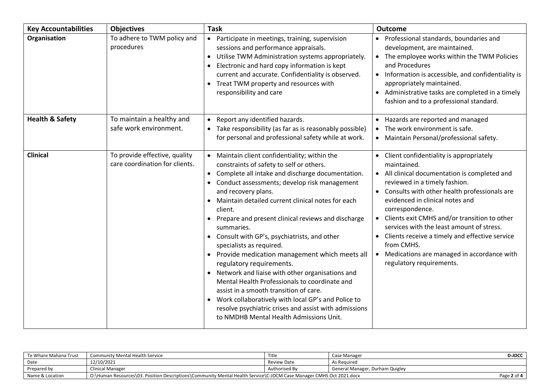| <b>Key Accountabilities</b> | <b>Objectives</b>                                               | <b>Task</b>                                                                                                                                                                                                                                                                                                                                                                                                                                                                                                                                                                                                                                                                                                                                                                                                                                                                                            | <b>Outcome</b>                                                                                                                                                                                                                                                                                                                                                                                                                                                                                                             |
|-----------------------------|-----------------------------------------------------------------|--------------------------------------------------------------------------------------------------------------------------------------------------------------------------------------------------------------------------------------------------------------------------------------------------------------------------------------------------------------------------------------------------------------------------------------------------------------------------------------------------------------------------------------------------------------------------------------------------------------------------------------------------------------------------------------------------------------------------------------------------------------------------------------------------------------------------------------------------------------------------------------------------------|----------------------------------------------------------------------------------------------------------------------------------------------------------------------------------------------------------------------------------------------------------------------------------------------------------------------------------------------------------------------------------------------------------------------------------------------------------------------------------------------------------------------------|
| Organisation                | To adhere to TWM policy and<br>procedures                       | • Participate in meetings, training, supervision<br>sessions and performance appraisals.<br>Utilise TWM Administration systems appropriately.<br>$\bullet$<br>Electronic and hard copy information is kept<br>$\bullet$<br>current and accurate. Confidentiality is observed.<br>Treat TWM property and resources with<br>responsibility and care                                                                                                                                                                                                                                                                                                                                                                                                                                                                                                                                                      | • Professional standards, boundaries and<br>development, are maintained.<br>• The employee works within the TWM Policies<br>and Procedures<br>Information is accessible, and confidentiality is<br>appropriately maintained.<br>Administrative tasks are completed in a timely<br>$\bullet$<br>fashion and to a professional standard.                                                                                                                                                                                     |
| <b>Health &amp; Safety</b>  | To maintain a healthy and<br>safe work environment.             | Report any identified hazards.<br>Take responsibility (as far as is reasonably possible)<br>for personal and professional safety while at work.                                                                                                                                                                                                                                                                                                                                                                                                                                                                                                                                                                                                                                                                                                                                                        | Hazards are reported and managed<br>$\bullet$<br>The work environment is safe.<br>$\bullet$<br>• Maintain Personal/professional safety.                                                                                                                                                                                                                                                                                                                                                                                    |
| <b>Clinical</b>             | To provide effective, quality<br>care coordination for clients. | Maintain client confidentiality; within the<br>constraints of safety to self or others.<br>Complete all intake and discharge documentation.<br>$\bullet$<br>Conduct assessments; develop risk management<br>$\bullet$<br>and recovery plans.<br>Maintain detailed current clinical notes for each<br>$\bullet$<br>client.<br>Prepare and present clinical reviews and discharge<br>summaries.<br>• Consult with GP's, psychiatrists, and other<br>specialists as required.<br>Provide medication management which meets all<br>$\bullet$<br>regulatory requirements.<br>Network and liaise with other organisations and<br>$\bullet$<br>Mental Health Professionals to coordinate and<br>assist in a smooth transition of care.<br>Work collaboratively with local GP's and Police to<br>$\bullet$<br>resolve psychiatric crises and assist with admissions<br>to NMDHB Mental Health Admissions Unit. | Client confidentiality is appropriately<br>maintained.<br>All clinical documentation is completed and<br>$\bullet$<br>reviewed in a timely fashion.<br>Consults with other health professionals are<br>evidenced in clinical notes and<br>correspondence.<br>Clients exit CMHS and/or transition to other<br>services with the least amount of stress.<br>Clients receive a timely and effective service<br>$\bullet$<br>from CMHS.<br>Medications are managed in accordance with<br>$\bullet$<br>regulatory requirements. |

| Te Whare Mahana Trust | <b>Community Mental Health Service</b>                                                                              | Title         | Case Manager                    | <b>D-JDCC</b> |
|-----------------------|---------------------------------------------------------------------------------------------------------------------|---------------|---------------------------------|---------------|
| Date                  | 12/10/2021                                                                                                          | Review Date   | As Reguired                     |               |
| Prepared by           | <b>Clinical Manager</b>                                                                                             | Authorised By | General Manager, Durham Quigley |               |
| Name & Location       | O:\Human Resources\03. Position Descriptions\Community Mental Health Service\C-JDCM Case Manager CMHS Oct 2021.docx |               |                                 | Page 2 of 4   |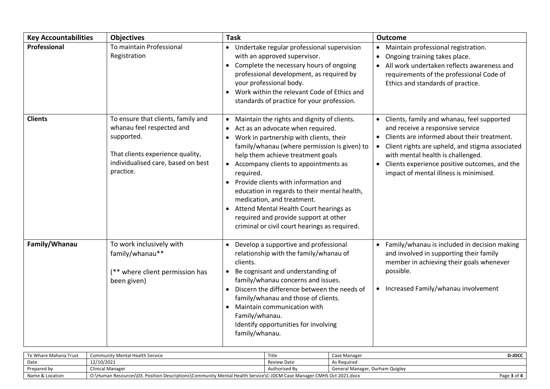| <b>Key Accountabilities</b> | <b>Objectives</b>                                                                                                                                                    | <b>Task</b>                                                                                                                                                                                                                                                                                                                                                                                                                                                                                                                                                                                | <b>Outcome</b>                                                                                                                                                                                                                                                                                                                             |
|-----------------------------|----------------------------------------------------------------------------------------------------------------------------------------------------------------------|--------------------------------------------------------------------------------------------------------------------------------------------------------------------------------------------------------------------------------------------------------------------------------------------------------------------------------------------------------------------------------------------------------------------------------------------------------------------------------------------------------------------------------------------------------------------------------------------|--------------------------------------------------------------------------------------------------------------------------------------------------------------------------------------------------------------------------------------------------------------------------------------------------------------------------------------------|
| Professional                | To maintain Professional<br>Registration                                                                                                                             | • Undertake regular professional supervision<br>with an approved supervisor.<br>Complete the necessary hours of ongoing<br>$\bullet$<br>professional development, as required by<br>your professional body.<br>Work within the relevant Code of Ethics and<br>standards of practice for your profession.                                                                                                                                                                                                                                                                                   | Maintain professional registration.<br>$\bullet$<br>Ongoing training takes place.<br>$\bullet$<br>All work undertaken reflects awareness and<br>requirements of the professional Code of<br>Ethics and standards of practice.                                                                                                              |
| <b>Clients</b>              | To ensure that clients, family and<br>whanau feel respected and<br>supported.<br>That clients experience quality,<br>individualised care, based on best<br>practice. | Maintain the rights and dignity of clients.<br>$\bullet$<br>Act as an advocate when required.<br>٠<br>Work in partnership with clients, their<br>$\bullet$<br>family/whanau (where permission is given) to<br>help them achieve treatment goals<br>• Accompany clients to appointments as<br>required.<br>Provide clients with information and<br>$\bullet$<br>education in regards to their mental health,<br>medication, and treatment.<br>Attend Mental Health Court hearings as<br>$\bullet$<br>required and provide support at other<br>criminal or civil court hearings as required. | Clients, family and whanau, feel supported<br>and receive a responsive service<br>Clients are informed about their treatment.<br>Client rights are upheld, and stigma associated<br>$\bullet$<br>with mental health is challenged.<br>Clients experience positive outcomes, and the<br>$\bullet$<br>impact of mental illness is minimised. |
| Family/Whanau               | To work inclusively with<br>family/whanau**<br>(** where client permission has<br>been given)                                                                        | Develop a supportive and professional<br>$\bullet$<br>relationship with the family/whanau of<br>clients.<br>Be cognisant and understanding of<br>$\bullet$<br>family/whanau concerns and issues.<br>Discern the difference between the needs of<br>$\bullet$<br>family/whanau and those of clients.<br>Maintain communication with<br>$\bullet$<br>Family/whanau.<br>Identify opportunities for involving<br>family/whanau.                                                                                                                                                                | Family/whanau is included in decision making<br>and involved in supporting their family<br>member in achieving their goals whenever<br>possible.<br>• Increased Family/whanau involvement                                                                                                                                                  |

| Te Whare Mahana Trust | <b>Community Mental Health Service</b>                                                                              | Title         | Case Manager                    | <b>D-JDCC</b> |
|-----------------------|---------------------------------------------------------------------------------------------------------------------|---------------|---------------------------------|---------------|
| Date                  | 12/10/2021                                                                                                          | Review Date   | As Reauired                     |               |
| Prepared by           | <b>Clinical Manager</b>                                                                                             | Authorised By | General Manager, Durham Quigley |               |
| Name & Location       | O:\Human Resources\03. Position Descriptions\Community Mental Health Service\C-JDCM Case Manager CMHS Oct 2021.docx |               |                                 | Page 3 of 4   |